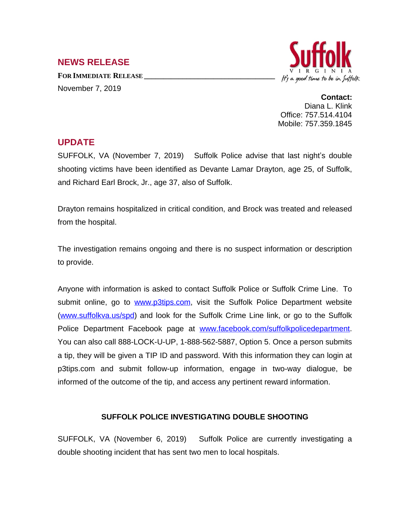## **NEWS RELEASE**

**FOR IMMEDIATE RELEASE \_\_\_\_\_\_\_\_\_\_\_\_\_\_\_\_\_\_\_\_\_\_\_\_\_\_\_\_\_\_\_\_\_\_** November 7, 2019



**Contact:** Diana L. Klink Office: 757.514.4104 Mobile: 757.359.1845

## **UPDATE**

SUFFOLK, VA (November 7, 2019) Suffolk Police advise that last night's double shooting victims have been identified as Devante Lamar Drayton, age 25, of Suffolk, and Richard Earl Brock, Jr., age 37, also of Suffolk.

Drayton remains hospitalized in critical condition, and Brock was treated and released from the hospital.

The investigation remains ongoing and there is no suspect information or description to provide.

Anyone with information is asked to contact Suffolk Police or Suffolk Crime Line. To submit online, go to [www.p3tips.com,](http://www.p3tips.com) visit the Suffolk Police Department website ([www.suffolkva.us/spd](http://www.suffolkva.us/spd)) and look for the Suffolk Crime Line link, or go to the Suffolk Police Department Facebook page at [www.facebook.com/suffolkpolicedepartment](http://www.facebook.com/suffolkpolicedepartment). You can also call 888-LOCK-U-UP, 1-888-562-5887, Option 5. Once a person submits a tip, they will be given a TIP ID and password. With this information they can login at p3tips.com and submit follow-up information, engage in two-way dialogue, be informed of the outcome of the tip, and access any pertinent reward information.

## **SUFFOLK POLICE INVESTIGATING DOUBLE SHOOTING**

SUFFOLK, VA (November 6, 2019) Suffolk Police are currently investigating a double shooting incident that has sent two men to local hospitals.